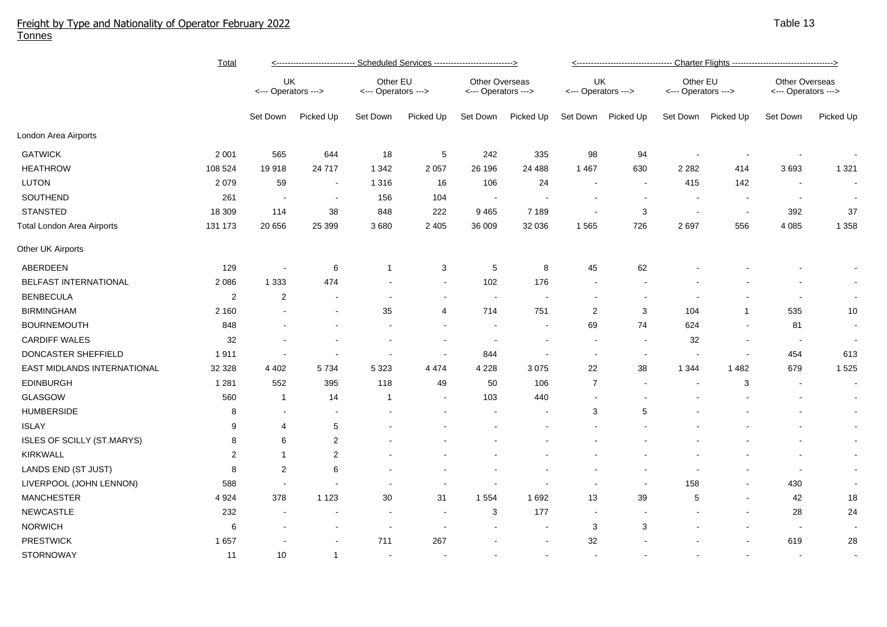## Freight by Type and Nationality of Operator February 2022 Tonnes

|                                   | <b>Total</b>   | <----------------------------- Scheduled Services ----------------------------> |                |                                 |           |                                       |                          |                           |                          |                                 |                          |                                       |           |  |
|-----------------------------------|----------------|---------------------------------------------------------------------------------|----------------|---------------------------------|-----------|---------------------------------------|--------------------------|---------------------------|--------------------------|---------------------------------|--------------------------|---------------------------------------|-----------|--|
|                                   |                | UK<br><--- Operators --->                                                       |                | Other EU<br><--- Operators ---> |           | Other Overseas<br><--- Operators ---> |                          | UK<br><--- Operators ---> |                          | Other EU<br><--- Operators ---> |                          | Other Overseas<br><--- Operators ---> |           |  |
|                                   |                | Set Down                                                                        | Picked Up      | Set Down                        | Picked Up | Set Down                              | Picked Up                | Set Down                  | Picked Up                | Set Down                        | Picked Up                | Set Down                              | Picked Up |  |
| London Area Airports              |                |                                                                                 |                |                                 |           |                                       |                          |                           |                          |                                 |                          |                                       |           |  |
| <b>GATWICK</b>                    | 2 0 0 1        | 565                                                                             | 644            | 18                              | 5         | 242                                   | 335                      | 98                        | 94                       |                                 |                          |                                       |           |  |
| <b>HEATHROW</b>                   | 108 524        | 19918                                                                           | 24 7 1 7       | 1 3 4 2                         | 2 0 5 7   | 26 196                                | 24 488                   | 1 4 6 7                   | 630                      | 2 2 8 2                         | 414                      | 3693                                  | 1 3 2 1   |  |
| <b>LUTON</b>                      | 2 0 7 9        | 59                                                                              | $\blacksquare$ | 1 3 1 6                         | 16        | 106                                   | 24                       | $\sim$                    | $\sim$                   | 415                             | 142                      | $\overline{\phantom{a}}$              |           |  |
| SOUTHEND                          | 261            | $\overline{\phantom{a}}$                                                        |                | 156                             | 104       | $\overline{\phantom{a}}$              |                          |                           | $\overline{\phantom{a}}$ |                                 |                          | $\overline{\phantom{a}}$              |           |  |
| <b>STANSTED</b>                   | 18 309         | 114                                                                             | 38             | 848                             | 222       | 9 4 6 5                               | 7 1 8 9                  | $\sim$                    | $\sqrt{3}$               | $\overline{\phantom{a}}$        | $\sim$                   | 392                                   | 37        |  |
| <b>Total London Area Airports</b> | 131 173        | 20 656                                                                          | 25 3 9 9       | 3 6 8 0                         | 2 4 0 5   | 36 009                                | 32 036                   | 1565                      | 726                      | 2697                            | 556                      | 4 0 8 5                               | 1 3 5 8   |  |
| Other UK Airports                 |                |                                                                                 |                |                                 |           |                                       |                          |                           |                          |                                 |                          |                                       |           |  |
| ABERDEEN                          | 129            |                                                                                 | 6              | -1                              | 3         | 5                                     | 8                        | 45                        | 62                       |                                 |                          |                                       |           |  |
| BELFAST INTERNATIONAL             | 2 0 8 6        | 1 3 3 3                                                                         | 474            |                                 |           | 102                                   | 176                      | $\blacksquare$            |                          |                                 |                          |                                       |           |  |
| <b>BENBECULA</b>                  | $\overline{c}$ | $\overline{c}$                                                                  |                |                                 |           |                                       |                          |                           |                          |                                 |                          |                                       |           |  |
| <b>BIRMINGHAM</b>                 | 2 1 6 0        |                                                                                 |                | 35                              | 4         | 714                                   | 751                      | $\overline{2}$            | 3                        | 104                             | $\mathbf{1}$             | 535                                   | 10        |  |
| <b>BOURNEMOUTH</b>                | 848            |                                                                                 |                |                                 |           | $\sim$                                |                          | 69                        | 74                       | 624                             | $\overline{\phantom{a}}$ | 81                                    |           |  |
| <b>CARDIFF WALES</b>              | 32             |                                                                                 |                |                                 |           |                                       | $\overline{\phantom{a}}$ | $\sim$                    | $\blacksquare$           | 32                              | $\overline{\phantom{a}}$ | $\sim$                                |           |  |
| DONCASTER SHEFFIELD               | 1911           |                                                                                 |                |                                 |           | 844                                   |                          |                           | $\blacksquare$           |                                 |                          | 454                                   | 613       |  |
| EAST MIDLANDS INTERNATIONAL       | 32 328         | 4 4 0 2                                                                         | 5 7 3 4        | 5 3 2 3                         | 4 4 7 4   | 4 2 2 8                               | 3 0 7 5                  | 22                        | 38                       | 1 3 4 4                         | 1 4 8 2                  | 679                                   | 1 5 2 5   |  |
| <b>EDINBURGH</b>                  | 1 2 8 1        | 552                                                                             | 395            | 118                             | 49        | 50                                    | 106                      | $\overline{7}$            |                          | $\overline{\phantom{a}}$        | 3                        |                                       | $\sim$    |  |
| <b>GLASGOW</b>                    | 560            | $\mathbf{1}$                                                                    | 14             | $\mathbf 1$                     |           | 103                                   | 440                      |                           |                          |                                 |                          |                                       |           |  |
| <b>HUMBERSIDE</b>                 | 8              |                                                                                 |                |                                 |           |                                       |                          | 3                         | 5                        |                                 |                          |                                       | $\sim$    |  |
| <b>ISLAY</b>                      | 9              | 4                                                                               | $\sqrt{5}$     |                                 |           |                                       |                          |                           |                          |                                 |                          |                                       | $\sim$    |  |
| ISLES OF SCILLY (ST.MARYS)        | 8              | 6                                                                               | $\overline{2}$ |                                 |           |                                       |                          |                           |                          |                                 |                          |                                       | $\sim$    |  |
| <b>KIRKWALL</b>                   | $\overline{2}$ | 1                                                                               | $\sqrt{2}$     |                                 |           |                                       |                          |                           |                          |                                 |                          |                                       |           |  |
| LANDS END (ST JUST)               | 8              | 2                                                                               | 6              |                                 |           |                                       |                          |                           |                          |                                 |                          |                                       |           |  |
| LIVERPOOL (JOHN LENNON)           | 588            |                                                                                 |                |                                 |           |                                       |                          |                           | $\blacksquare$           | 158                             |                          | 430                                   |           |  |
| <b>MANCHESTER</b>                 | 4 9 24         | 378                                                                             | 1 1 2 3        | 30                              | 31        | 1 5 5 4                               | 1692                     | 13                        | 39                       | 5                               |                          | 42                                    | 18        |  |
| <b>NEWCASTLE</b>                  | 232            |                                                                                 |                | $\blacksquare$                  |           | 3                                     | 177                      | $\overline{\phantom{a}}$  |                          |                                 |                          | 28                                    | 24        |  |
| <b>NORWICH</b>                    | 6              |                                                                                 |                | $\overline{\phantom{a}}$        |           |                                       | $\sim$                   | 3                         | 3                        |                                 |                          | $\sim$                                |           |  |
| <b>PRESTWICK</b>                  | 1657           |                                                                                 |                | 711                             | 267       |                                       |                          | 32                        |                          |                                 |                          | 619                                   | 28        |  |
| <b>STORNOWAY</b>                  | 11             | 10                                                                              | $\mathbf{1}$   |                                 |           |                                       |                          |                           |                          |                                 |                          |                                       |           |  |